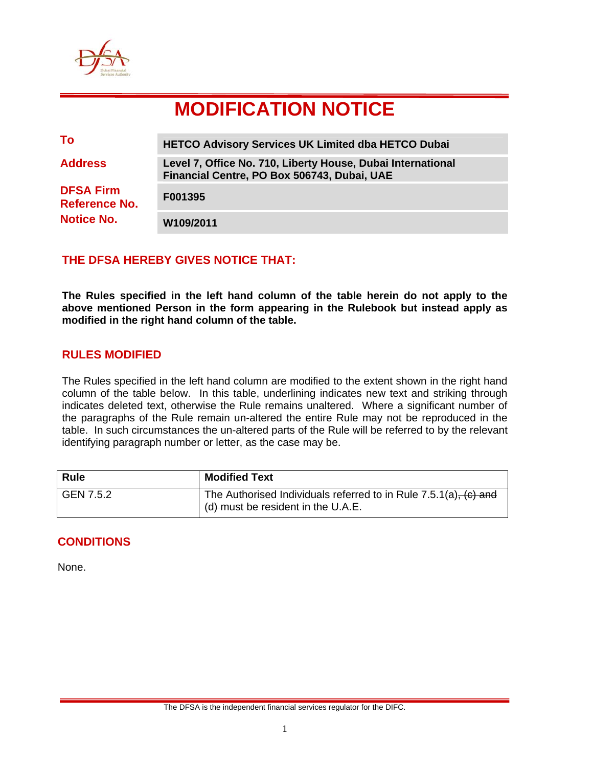

# **MODIFICATION NOTICE**

| To                                                     | <b>HETCO Advisory Services UK Limited dba HETCO Dubai</b>                                                  |
|--------------------------------------------------------|------------------------------------------------------------------------------------------------------------|
| <b>Address</b>                                         | Level 7, Office No. 710, Liberty House, Dubai International<br>Financial Centre, PO Box 506743, Dubai, UAE |
| <b>DFSA Firm</b><br>Reference No.<br><b>Notice No.</b> | F001395                                                                                                    |
|                                                        | W109/2011                                                                                                  |

## **THE DFSA HEREBY GIVES NOTICE THAT:**

**The Rules specified in the left hand column of the table herein do not apply to the above mentioned Person in the form appearing in the Rulebook but instead apply as modified in the right hand column of the table.** 

### **RULES MODIFIED**

The Rules specified in the left hand column are modified to the extent shown in the right hand column of the table below. In this table, underlining indicates new text and striking through indicates deleted text, otherwise the Rule remains unaltered. Where a significant number of the paragraphs of the Rule remain un-altered the entire Rule may not be reproduced in the table. In such circumstances the un-altered parts of the Rule will be referred to by the relevant identifying paragraph number or letter, as the case may be.

| <b>Rule</b> | <b>Modified Text</b>                                                                                        |
|-------------|-------------------------------------------------------------------------------------------------------------|
| GEN 7.5.2   | The Authorised Individuals referred to in Rule $7.5.1(a)$ , $(c)$ and<br>(d) must be resident in the U.A.E. |

## **CONDITIONS**

None.